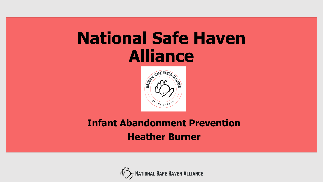## **National Safe Haven Alliance**



### **Infant Abandonment Prevention Heather Burner**

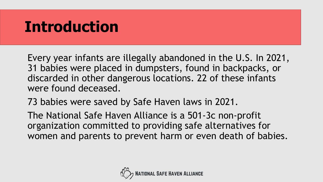## **Introduction**

 Every year infants are illegally abandoned in the U.S. In 2021, 31 babies were placed in dumpsters, found in backpacks, or discarded in other dangerous locations. 22 of these infants were found deceased.

73 babies were saved by Safe Haven laws in 2021.

The National Safe Haven Alliance is a 501-3c non-profit organization committed to providing safe alternatives for women and parents to prevent harm or even death of babies.

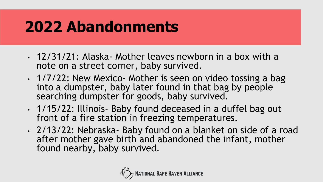## **2022 Abandonments**

- • 12/31/21: Alaska- Mother leaves newborn in a box with a note on a street corner, baby survived.
- • 1/7/22: New Mexico- Mother is seen on video tossing a bag into a dumpster, baby later found in that bag by people searching dumpster for goods, baby survived.
- front of a fire station in freezing temperatures. • 1/15/22: Illinois- Baby found deceased in a duffel bag out
- after mother gave birth and abandoned the infant, mother • 2/13/22: Nebraska- Baby found on a blanket on side of a road found nearby, baby survived.

![](_page_2_Picture_5.jpeg)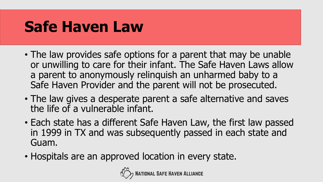## **Safe Haven Law**

- • The law provides safe options for a parent that may be unable or unwilling to care for their infant. The Safe Haven Laws allow a parent to anonymously relinquish an unharmed baby to a Safe Haven Provider and the parent will not be prosecuted.
- • The law gives a desperate parent a safe alternative and saves the life of a vulnerable infant.
- • Each state has a different Safe Haven Law, the first law passed in 1999 in TX and was subsequently passed in each state and Guam.
- Hospitals are an approved location in every state.

![](_page_3_Picture_5.jpeg)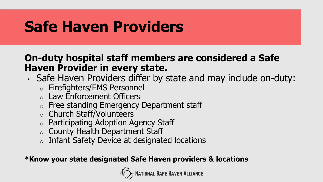## **Safe Haven Providers**

#### **On-duty hospital staff members are considered a Safe Haven Provider in every state.**

- • Safe Haven Providers differ by state and may include on-duty:
	- o Firefighters/EMS Personnel
	- o Law Enforcement Officers
	- o Free standing Emergency Department staff
	- o Church Staff/Volunteers
	- $\circ$  Participating Adoption Agency Staff
	- $\circ$  County Health Department Staff
	- $\circ$  Infant Safety Device at designated locations

#### **\*Know your state designated Safe Haven providers & locations**

![](_page_4_Picture_11.jpeg)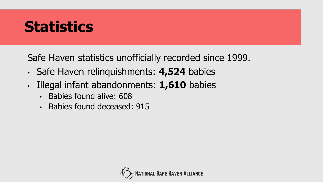## **Statistics**

Safe Haven statistics unofficially recorded since 1999.

- Safe Haven relinquishments: **4,524** babies
- Illegal infant abandonments: **1,610** babies
	- Babies found alive: 608
	- Babies found deceased: 915

![](_page_5_Picture_6.jpeg)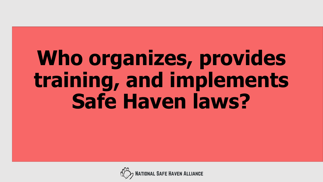# **Who organizes, provides training, and implements Safe Haven laws?**

![](_page_6_Picture_1.jpeg)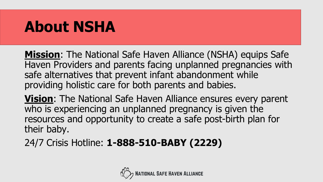## **About NSHA**

**Mission**: The National Safe Haven Alliance (NSHA) equips Safe Haven Providers and parents facing unplanned pregnancies with safe alternatives that prevent infant abandonment while providing holistic care for both parents and babies.

**Vision**: The National Safe Haven Alliance ensures every parent who is experiencing an unplanned pregnancy is given the resources and opportunity to create a safe post-birth plan for their baby.

24/7 Crisis Hotline: **1-888-510-BABY (2229)** 

![](_page_7_Picture_4.jpeg)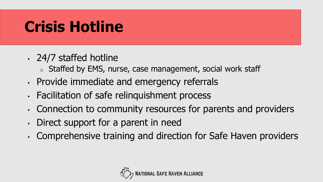## **Crisis Hotline**

- 24/7 staffed hotline
	- $\circ$  Staffed by EMS, nurse, case management, social work staff
- Provide immediate and emergency referrals
- Facilitation of safe relinquishment process
- Connection to community resources for parents and providers
- Direct support for a parent in need
- Comprehensive training and direction for Safe Haven providers

![](_page_8_Picture_8.jpeg)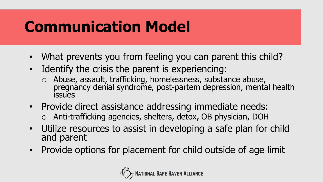## **Communication Model**

- What prevents you from feeling you can parent this child?
- • Identify the crisis the parent is experiencing:
	- o Abuse, assault, trafficking, homelessness, substance abuse, pregnancy denial syndrome, post-partem depression, mental health **issues**
- • Provide direct assistance addressing immediate needs: o Anti-trafficking agencies, shelters, detox, OB physician, DOH
- • Utilize resources to assist in developing a safe plan for child and parent
- Provide options for placement for child outside of age limit

![](_page_9_Picture_7.jpeg)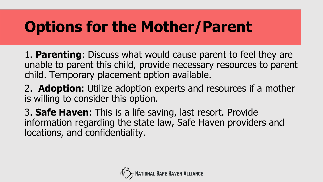## **Options for the Mother/Parent**

 1. **Parenting**: Discuss what would cause parent to feel they are unable to parent this child, provide necessary resources to parent child. Temporary placement option available.

 2. **Adoption**: Utilize adoption experts and resources if a mother is willing to consider this option.

 3. **Safe Haven**: This is a life saving, last resort. Provide information regarding the state law, Safe Haven providers and locations, and confidentiality.

![](_page_10_Picture_4.jpeg)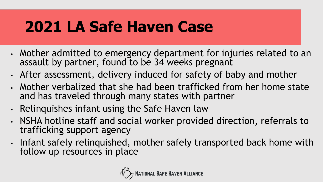## **2021 LA Safe Haven Case**

- • Mother admitted to emergency department for injuries related to an assault by partner, found to be 34 weeks pregnant
- After assessment, delivery induced for safety of baby and mother
- • Mother verbalized that she had been trafficked from her home state and has traveled through many states with partner
- Relinquishes infant using the Safe Haven law
- • NSHA hotline staff and social worker provided direction, referrals to trafficking support agency
- Infant safely relinquished, mother safely transported back home with follow up resources in place

![](_page_11_Picture_7.jpeg)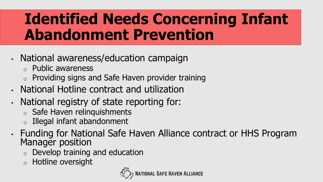## **Identified Needs Concerning Infant Abandonment Prevention**

- National awareness/education campaign
	- o Public awareness
	- $\circ$  Providing signs and Safe Haven provider training
- National Hotline contract and utilization
- • National registry of state reporting for:
	- o Safe Haven relinquishments
	- o Illegal infant abandonment
- Funding for National Safe Haven Alliance contract or HHS Program Manager position
	- o Develop training and education
	- o Hotline oversight

![](_page_12_Picture_11.jpeg)